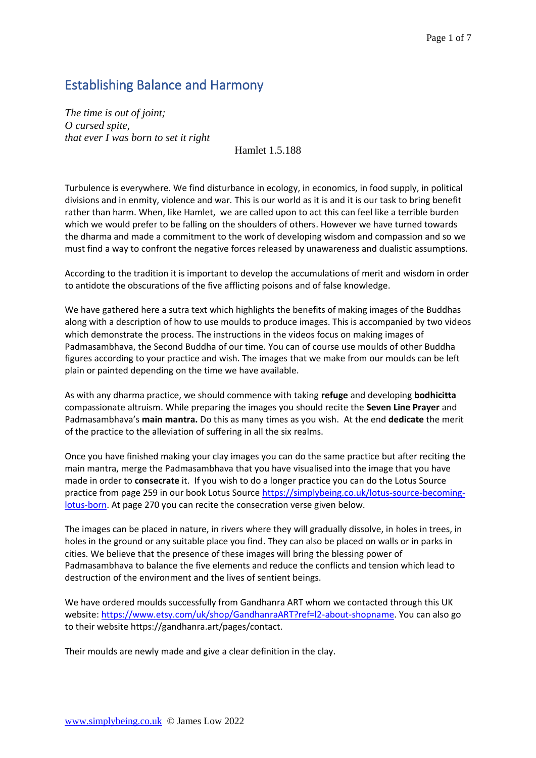## Establishing Balance and Harmony

*The time is out of joint; O cursed spite, that ever I was born to set it right* 

Hamlet 1.5.188

Turbulence is everywhere. We find disturbance in ecology, in economics, in food supply, in political divisions and in enmity, violence and war. This is our world as it is and it is our task to bring benefit rather than harm. When, like Hamlet, we are called upon to act this can feel like a terrible burden which we would prefer to be falling on the shoulders of others. However we have turned towards the dharma and made a commitment to the work of developing wisdom and compassion and so we must find a way to confront the negative forces released by unawareness and dualistic assumptions.

According to the tradition it is important to develop the accumulations of merit and wisdom in order to antidote the obscurations of the five afflicting poisons and of false knowledge.

We have gathered here a sutra text which highlights the benefits of making images of the Buddhas along with a description of how to use moulds to produce images. This is accompanied by two videos which demonstrate the process. The instructions in the videos focus on making images of Padmasambhava, the Second Buddha of our time. You can of course use moulds of other Buddha figures according to your practice and wish. The images that we make from our moulds can be left plain or painted depending on the time we have available.

As with any dharma practice, we should commence with taking **refuge** and developing **bodhicitta** compassionate altruism. While preparing the images you should recite the **Seven Line Prayer** and Padmasambhava's **main mantra.** Do this as many times as you wish. At the end **dedicate** the merit of the practice to the alleviation of suffering in all the six realms.

Once you have finished making your clay images you can do the same practice but after reciting the main mantra, merge the Padmasambhava that you have visualised into the image that you have made in order to **consecrate** it. If you wish to do a longer practice you can do the Lotus Source practice from page 259 in our book Lotus Source [https://simplybeing.co.uk/lotus-source-becoming](https://simplybeing.co.uk/lotus-source-becoming-lotus-born)[lotus-born.](https://simplybeing.co.uk/lotus-source-becoming-lotus-born) At page 270 you can recite the consecration verse given below.

The images can be placed in nature, in rivers where they will gradually dissolve, in holes in trees, in holes in the ground or any suitable place you find. They can also be placed on walls or in parks in cities. We believe that the presence of these images will bring the blessing power of Padmasambhava to balance the five elements and reduce the conflicts and tension which lead to destruction of the environment and the lives of sentient beings.

We have ordered moulds successfully from Gandhanra ART whom we contacted through this UK website: [https://www.etsy.com/uk/shop/GandhanraART?ref=l2-about-shopname.](https://www.etsy.com/uk/shop/GandhanraART?ref=l2-about-shopname) You can also go to their website https://gandhanra.art/pages/contact.

Their moulds are newly made and give a clear definition in the clay.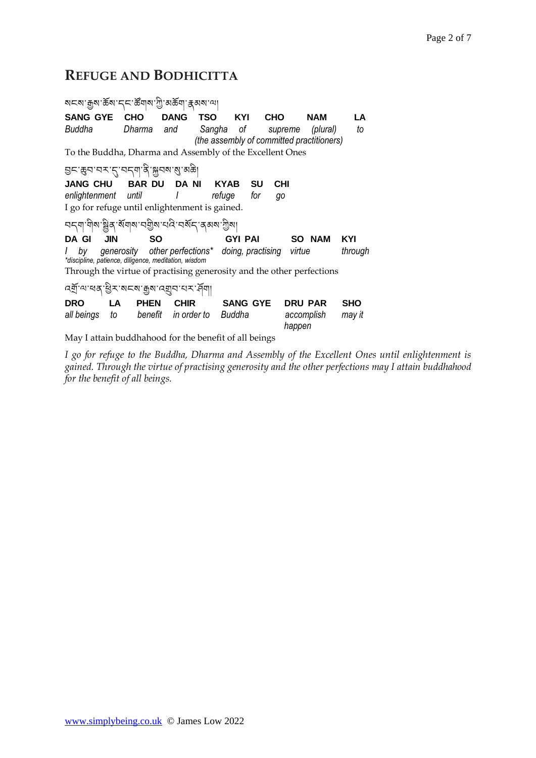# **REFUGE AND BODHICITTA**

| ম⊏ম ক্ৰুম ক্ৰম দৃদ ক্ষঁত্ৰম দূী অক্কঁত্ৰা ক্কুঅম আ                                                                            |                                                        |                     |                |                   |                      |            |  |  |
|-------------------------------------------------------------------------------------------------------------------------------|--------------------------------------------------------|---------------------|----------------|-------------------|----------------------|------------|--|--|
| <b>SANG GYE</b>                                                                                                               | CHO                                                    | <b>DANG</b>         | <b>TSO</b>     | <b>CHO</b><br>KYI | <b>NAM</b>           | LA         |  |  |
| Buddha                                                                                                                        | Dharma                                                 | and                 | Sangha of      |                   | (plural)<br>supreme  | to         |  |  |
| (the assembly of committed practitioners)<br>To the Buddha, Dharma and Assembly of the Excellent Ones                         |                                                        |                     |                |                   |                      |            |  |  |
|                                                                                                                               |                                                        |                     |                |                   |                      |            |  |  |
| <u> घटःक्रुवावराहावदवाद्यःश्रूवबा</u> ळाळा                                                                                    |                                                        |                     |                |                   |                      |            |  |  |
| <b>JANG CHU</b>                                                                                                               | <b>BAR DU</b>                                          | DA NI               | KYAB           | SU                | <b>CHI</b>           |            |  |  |
| enlightenment until                                                                                                           |                                                        | $\perp$             | refuge         | for<br>go         |                      |            |  |  |
|                                                                                                                               | I go for refuge until enlightenment is gained.         |                     |                |                   |                      |            |  |  |
|                                                                                                                               |                                                        |                     |                |                   |                      |            |  |  |
| <b>JIN</b><br>DA GI                                                                                                           | SΟ                                                     |                     | <b>GYI PAI</b> |                   | <b>SO NAM</b>        | KYI        |  |  |
| bv                                                                                                                            | generosity other perfections* doing, practising virtue |                     |                |                   |                      | through    |  |  |
| *discipline, patience, diligence, meditation, wisdom<br>Through the virtue of practising generosity and the other perfections |                                                        |                     |                |                   |                      |            |  |  |
|                                                                                                                               |                                                        |                     |                |                   |                      |            |  |  |
| <u> ন্ম্ৰ্</u> য'ন্মৰ্শ্ৰ ইন'মন্ম' ক্ৰুম'ন্মুন'ন্ম' দ্ৰ্যা                                                                    |                                                        |                     |                |                   |                      |            |  |  |
| <b>DRO</b>                                                                                                                    | <b>PHEN</b><br>LA.                                     | <b>CHIR</b>         |                | <b>SANG GYE</b>   | <b>DRU PAR</b>       | <b>SHO</b> |  |  |
| all beings                                                                                                                    | to                                                     | benefit in order to | Buddha         |                   | accomplish<br>happen | may it     |  |  |
| May I attain buddhahood for the benefit of all beings                                                                         |                                                        |                     |                |                   |                      |            |  |  |

*I go for refuge to the Buddha, Dharma and Assembly of the Excellent Ones until enlightenment is gained. Through the virtue of practising generosity and the other perfections may I attain buddhahood for the benefit of all beings.*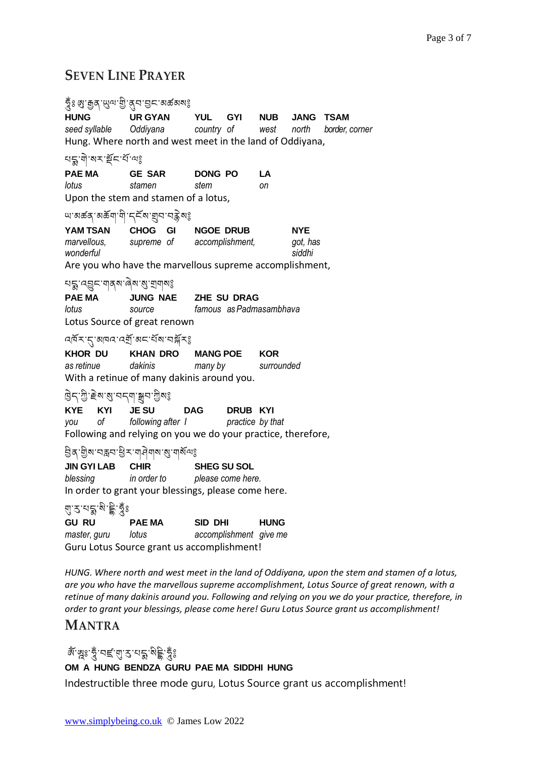## **SEVEN LINE PRAYER**

| รื่า ผิ. นิษิ (สิ.ส. ลิ. นิษะ , พร. พร. พร.                                                                                                            |                                                                                                                                          |                                     |  |                 |                                  |                |  |  |
|--------------------------------------------------------------------------------------------------------------------------------------------------------|------------------------------------------------------------------------------------------------------------------------------------------|-------------------------------------|--|-----------------|----------------------------------|----------------|--|--|
| <b>HUNG</b>                                                                                                                                            | URGYAN YUL GYI NUB JANG TSAM<br>seed syllable Oddiyana country of west north<br>Hung. Where north and west meet in the land of Oddiyana, |                                     |  |                 |                                  | border, corner |  |  |
|                                                                                                                                                        |                                                                                                                                          |                                     |  |                 |                                  |                |  |  |
| lotus                                                                                                                                                  | PAE MA GE SAR DONG PO<br>stamen<br>Upon the stem and stamen of a lotus,                                                                  | stem                                |  | <b>LA</b><br>оn |                                  |                |  |  |
| ౻ <sup>੶</sup> য়ড়ঽ <sub>৻</sub> ৵ড়য়৸৻৸৾৸ৼ৸ৼঢ়৸ৼ৸ড়৸ৼ                                                                                               |                                                                                                                                          |                                     |  |                 |                                  |                |  |  |
| wonderful                                                                                                                                              | <b>YAM TSAN CHOG GI NGOE DRUB</b><br>marvellous, supreme of accomplishment,<br>Are you who have the marvellous supreme accomplishment,   |                                     |  |                 | <b>NYE</b><br>got, has<br>siddhi |                |  |  |
| ยร : पछुन् यावरू खेल : ब्रु : ब्रावालई<br>PAE MA<br>JUNG NAE ZHE SU DRAG<br>famous as Padmasambhava<br>lotus<br>source<br>Lotus Source of great renown |                                                                                                                                          |                                     |  |                 |                                  |                |  |  |
|                                                                                                                                                        | <u>ঝ্লম্'ন্</u> বাৰ্ম্মৰ্ম্ম্'অন'ৰ্ম্ম'নষ্ট্ৰম্ভ                                                                                         |                                     |  |                 |                                  |                |  |  |
| KHOR DU KHAN DRO MANG POE<br>as retinue dakinis<br>With a retinue of many dakinis around you.                                                          |                                                                                                                                          | <b>KOR</b><br>many by<br>surrounded |  |                 |                                  |                |  |  |
| हिन्'गुे'हेब'बु'नन् <sub>य 'ङ्</sub> यन'गुबई                                                                                                           |                                                                                                                                          |                                     |  |                 |                                  |                |  |  |
| KYE KYI JESU                                                                                                                                           | you of following after I<br>Following and relying on you we do your practice, therefore,                                                 | DAG DRUB KYI<br>practice by that    |  |                 |                                  |                |  |  |
|                                                                                                                                                        |                                                                                                                                          |                                     |  |                 |                                  |                |  |  |
| <b>JIN GYI LAB CHIR</b><br>blessing                                                                                                                    | in order to please come here.<br>In order to grant your blessings, please come here.                                                     | <b>SHEG SU SOL</b>                  |  |                 |                                  |                |  |  |
| ঀৢ <sup>੶</sup> ঽ <sup>੶য়</sup> ৡৢ <sup>৻</sup> য়৾ৼ৾ৄৼ৾য়ৢ৽                                                                                          |                                                                                                                                          |                                     |  |                 |                                  |                |  |  |
| <b>GU RU</b><br>PAE MA SID DHI<br><b>HUNG</b><br>accomplishment give me<br>master, guru lotus<br>Guru Lotus Source grant us accomplishment!            |                                                                                                                                          |                                     |  |                 |                                  |                |  |  |

*HUNG. Where north and west meet in the land of Oddiyana, upon the stem and stamen of a lotus, are you who have the marvellous supreme accomplishment, Lotus Source of great renown, with a retinue of many dakinis around you. Following and relying on you we do your practice, therefore, in order to grant your blessings, please come here! Guru Lotus Source grant us accomplishment!*

## **MANTRA**

# জঁ জুঃ তুঁ 'বৰ্হ'ন্মু' ব্ৰ'মক্ক' মুই তুঁঃ

#### **OM A HUNG BENDZA GURU PAE MA SIDDHI HUNG**

Indestructible three mode guru, Lotus Source grant us accomplishment!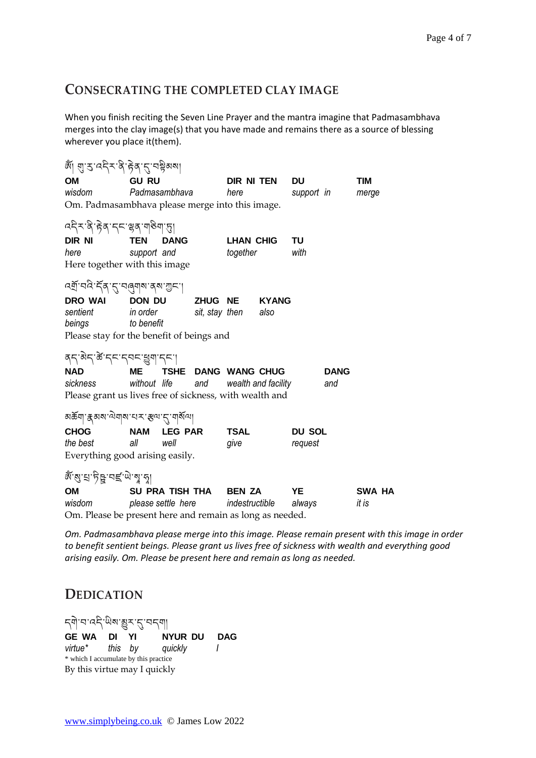### **CONSECRATING THE COMPLETED CLAY IMAGE**

When you finish reciting the Seven Line Prayer and the mantra imagine that Padmasambhava merges into the clay image(s) that you have made and remains there as a source of blessing wherever you place it(them).

| OM                                                       | <b>GU RU</b>              |                | DIR NI TEN       |                     | <b>DU</b>           |               | <b>TIM</b>  |        |
|----------------------------------------------------------|---------------------------|----------------|------------------|---------------------|---------------------|---------------|-------------|--------|
| wisdom                                                   | Padmasambhava             |                | here             |                     | support in          |               | merge       |        |
| Om. Padmasambhava please merge into this image.          |                           |                |                  |                     |                     |               |             |        |
| <i>५</i> देऽ'हे 'हेब्' द्द्द्"ञ्जूषा ज्ञाणु              |                           |                |                  |                     |                     |               |             |        |
| DIR NI                                                   | <b>TEN</b><br><b>DANG</b> |                | <b>LHAN CHIG</b> |                     | TU                  |               |             |        |
| here                                                     | support and               |                | together         |                     | with                |               |             |        |
| Here together with this image                            |                           |                |                  |                     |                     |               |             |        |
| תִּצַּן הַעֲלִּה (לְנָק הַלְּה הַיְצָ                    |                           |                |                  |                     |                     |               |             |        |
| DRO WAI                                                  | <b>DON DU</b>             |                | <b>ZHUG NE</b>   |                     | <b>KYANG</b>        |               |             |        |
| sentient                                                 | in order                  |                | sit, stay then   |                     | also                |               |             |        |
| beings                                                   | to benefit                |                |                  |                     |                     |               |             |        |
| Please stay for the benefit of beings and                |                           |                |                  |                     |                     |               |             |        |
|                                                          |                           |                |                  |                     |                     |               |             |        |
| बद्गेन के दनस्वन् भूषा दन।                               |                           |                |                  |                     |                     |               |             |        |
| <b>NAD</b>                                               | <b>ME</b>                 |                |                  | TSHE DANG WANG CHUG |                     |               | <b>DANG</b> |        |
| sickness                                                 | without life              |                | and              |                     | wealth and facility |               | and         |        |
| Please grant us lives free of sickness, with wealth and  |                           |                |                  |                     |                     |               |             |        |
| ลธัตุ <sub>รี</sub> สลง ฉิตุล เอร รูล รู้ ตุลัค          |                           |                |                  |                     |                     |               |             |        |
| <b>CHOG</b>                                              | <b>NAM</b>                | <b>LEG PAR</b> |                  | <b>TSAL</b>         |                     | <b>DU SOL</b> |             |        |
| the best                                                 | all                       | well           |                  | give                |                     | request       |             |        |
| Everything good arising easily.                          |                           |                |                  |                     |                     |               |             |        |
| &্প্ৰেন্দ্ৰ, প্ৰান্থ, প্ৰাণ্ডী                           |                           |                |                  |                     |                     |               |             |        |
| <b>OM</b>                                                | SU PRA TISH THA BEN ZA    |                |                  |                     |                     | YE            |             | SWA HA |
| wisdom                                                   | please settle here        |                | indestructible   |                     | always              |               | it is       |        |
| Om. Please be present here and remain as long as needed. |                           |                |                  |                     |                     |               |             |        |

*Om. Padmasambhava please merge into this image. Please remain present with this image in order to benefit sentient beings. Please grant us lives free of sickness with wealth and everything good arising easily. Om. Please be present here and remain as long as needed.*

## **DEDICATION**

ন্দী'ন'নন্দি'ঋঁৰ'ঙ্গুৰ'ন্ত্'নন্দ্ৰা **GE WA DI YI NYUR DU DAG** *virtue\* this by quickly I* \* which I accumulate by this practice By this virtue may I quickly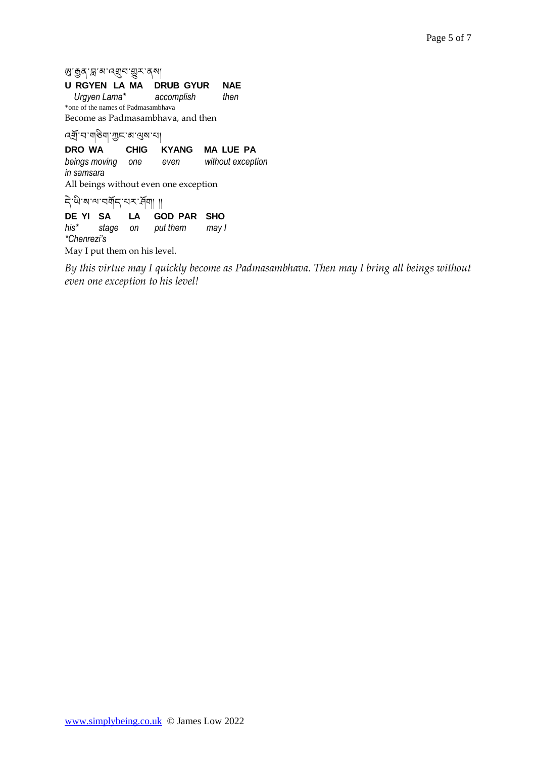<u></u>ଷ'ক্সুব'ন্ল'ঝ'ন্মুব'মুব'ব্ৰ

#### **U RGYEN LA MA DRUB GYUR NAE**

 *Urgyen Lama\* accomplish then* \*one of the names of Padmasambhava

Become as Padmasambhava, and then

འགོ་བ་གཅྱིག་ཀང་མ་ལུས་པ།

**DRO WA CHIG KYANG MA LUE PA** *beings moving one even without exception in samsara* All beings without even one exception  $\overrightarrow{P}$ 'ຟິ'ଷ'ལ་བགོད་པར་རོ།ག། །།<br>DE YI SA LA G

LA GOD PAR SHO *his\* stage on put them may I \*Chenrezi's* May I put them on his level.

*By this virtue may I quickly become as Padmasambhava. Then may I bring all beings without even one exception to his level!*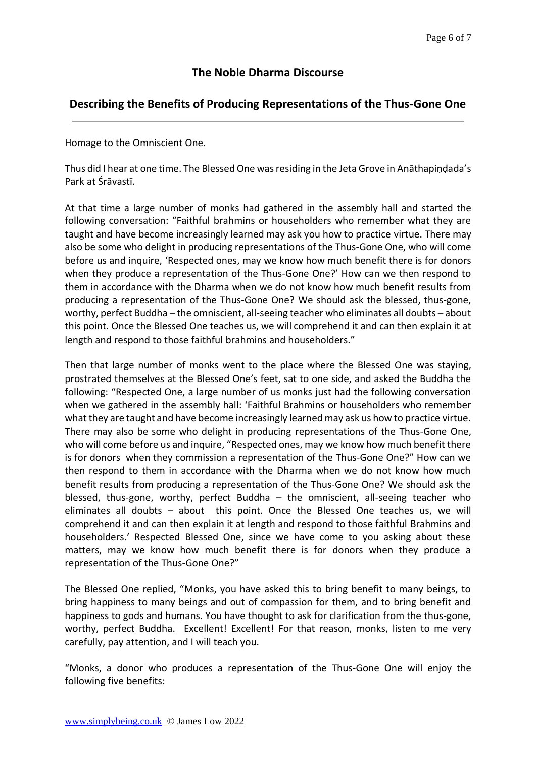#### **The Noble Dharma Discourse**

#### **Describing the Benefits of Producing Representations of the Thus-Gone One**

Homage to the Omniscient One.

Thus did I hear at one time. The Blessed One was residing in the Jeta Grove in Anāthapiṇḍada's Park at Śrāvastī.

At that time a large number of monks had gathered in the assembly hall and started the following conversation: "Faithful brahmins or householders who remember what they are taught and have become increasingly learned may ask you how to practice virtue. There may also be some who delight in producing representations of the Thus-Gone One, who will come before us and inquire, 'Respected ones, may we know how much benefit there is for donors when they produce a representation of the Thus-Gone One?' How can we then respond to them in accordance with the Dharma when we do not know how much benefit results from producing a representation of the Thus-Gone One? We should ask the blessed, thus-gone, worthy, perfect Buddha – the omniscient, all-seeing teacher who eliminates all doubts – about this point. Once the Blessed One teaches us, we will comprehend it and can then explain it at length and respond to those faithful brahmins and householders."

Then that large number of monks went to the place where the Blessed One was staying, prostrated themselves at the Blessed One's feet, sat to one side, and asked the Buddha the following: "Respected One, a large number of us monks just had the following conversation when we gathered in the assembly hall: 'Faithful Brahmins or householders who remember what they are taught and have become increasingly learned may ask us how to practice virtue. There may also be some who delight in producing representations of the Thus-Gone One, who will come before us and inquire, "Respected ones, may we know how much benefit there is for donors when they commission a representation of the Thus-Gone One?" How can we then respond to them in accordance with the Dharma when we do not know how much benefit results from producing a representation of the Thus-Gone One? We should ask the blessed, thus-gone, worthy, perfect Buddha – the omniscient, all-seeing teacher who eliminates all doubts – about this point. Once the Blessed One teaches us, we will comprehend it and can then explain it at length and respond to those faithful Brahmins and householders.' Respected Blessed One, since we have come to you asking about these matters, may we know how much benefit there is for donors when they produce a representation of the Thus-Gone One?"

The Blessed One replied, "Monks, you have asked this to bring benefit to many beings, to bring happiness to many beings and out of compassion for them, and to bring benefit and happiness to gods and humans. You have thought to ask for clarification from the thus-gone, worthy, perfect Buddha. Excellent! Excellent! For that reason, monks, listen to me very carefully, pay attention, and I will teach you.

"Monks, a donor who produces a representation of the Thus-Gone One will enjoy the following five benefits: